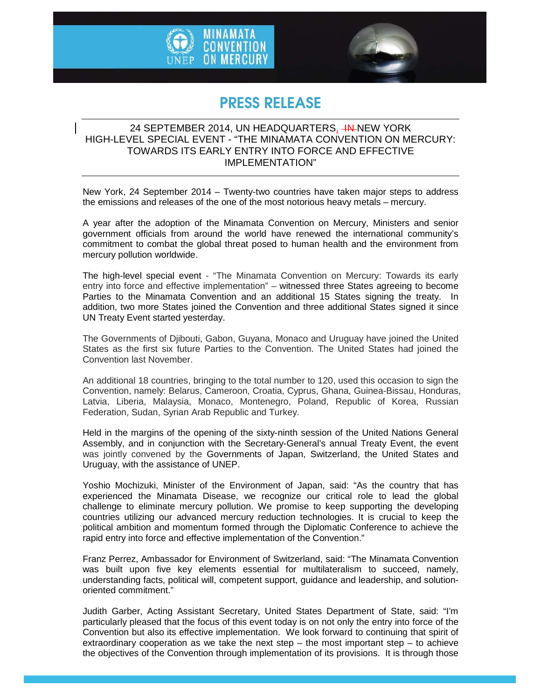



## PRESS RELEASE

## 24 SEPTEMBER 2014, UN HEADQUARTERS<u>, <del>IN</del>-</u>NEW YORK HIGH-LEVEL SPECIAL EVENT - "THE MINAMATA CONVENTION ON MERCURY: TOWARDS ITS EARLY ENTRY INTO FORCE AND EFFECTIVE IMPLEMENTATION"

New York, 24 September 2014 – Twenty-two countries have taken major steps to address the emissions and releases of the one of the most notorious heavy metals – mercury.

A year after the adoption of the Minamata Convention on Mercury, Ministers and senior government officials from around the world have renewed the international community's commitment to combat the global threat posed to human health and the environment from mercury pollution worldwide.

The high-level special event - "The Minamata Convention on Mercury: Towards its early entry into force and effective implementation" – witnessed three States agreeing to become Parties to the Minamata Convention and an additional 15 States signing the treaty. In addition, two more States joined the Convention and three additional States signed it since UN Treaty Event started yesterday.

The Governments of Djibouti, Gabon, Guyana, Monaco and Uruguay have joined the United States as the first six future Parties to the Convention. The United States had joined the Convention last November.

An additional 18 countries, bringing to the total number to 120, used this occasion to sign the Convention, namely: Belarus, Cameroon, Croatia, Cyprus, Ghana, Guinea-Bissau, Honduras, Latvia, Liberia, Malaysia, Monaco, Montenegro, Poland, Republic of Korea, Russian Federation, Sudan, Syrian Arab Republic and Turkey.

Held in the margins of the opening of the sixty-ninth session of the United Nations General Assembly, and in conjunction with the Secretary-General's annual Treaty Event, the event was jointly convened by the Governments of Japan, Switzerland, the United States and Uruguay, with the assistance of UNEP.

Yoshio Mochizuki, Minister of the Environment of Japan, said: "As the country that has experienced the Minamata Disease, we recognize our critical role to lead the global challenge to eliminate mercury pollution. We promise to keep supporting the developing countries utilizing our advanced mercury reduction technologies. It is crucial to keep the political ambition and momentum formed through the Diplomatic Conference to achieve the rapid entry into force and effective implementation of the Convention."

Franz Perrez, Ambassador for Environment of Switzerland, said: "The Minamata Convention was built upon five key elements essential for multilateralism to succeed, namely, understanding facts, political will, competent support, guidance and leadership, and solutionoriented commitment."

Judith Garber, Acting Assistant Secretary, United States Department of State, said: "I'm particularly pleased that the focus of this event today is on not only the entry into force of the Convention but also its effective implementation. We look forward to continuing that spirit of extraordinary cooperation as we take the next step  $-$  the most important step  $-$  to achieve the objectives of the Convention through implementation of its provisions. It is through those